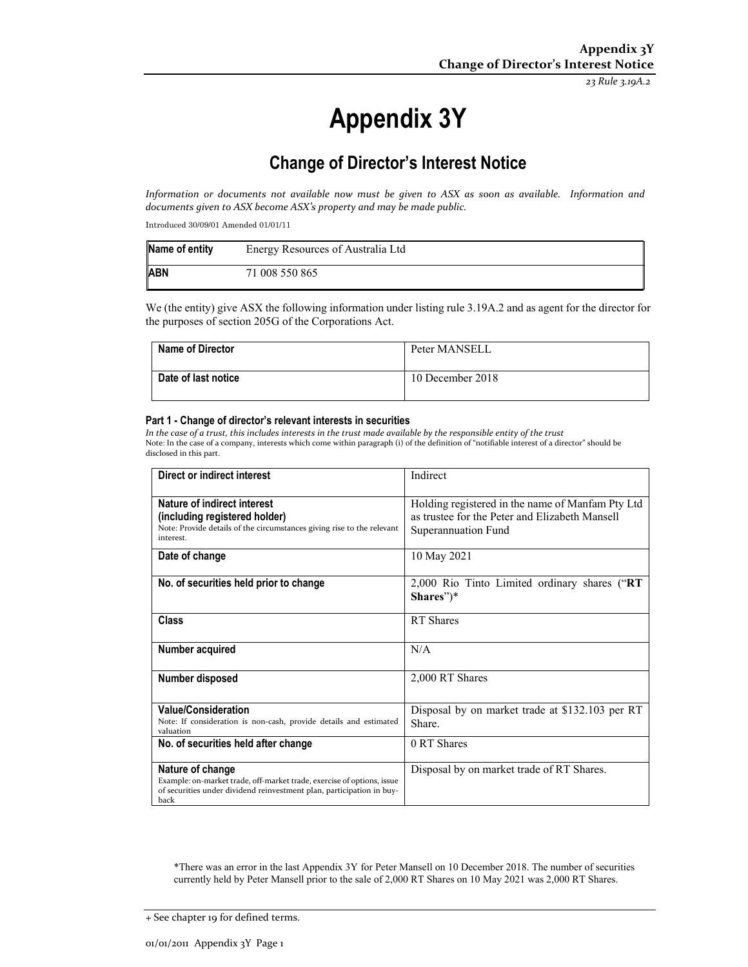*23 Rule 3.19A.2*

# **Appendix 3Y**

# **Change of Director's Interest Notice**

Information or documents not available now must be given to ASX as soon as available. Information and *documents given to ASX become ASX's property and may be made public.*

Introduced 30/09/01 Amended 01/01/11

| Name of entity | Energy Resources of Australia Ltd |
|----------------|-----------------------------------|
| <b>ABN</b>     | 71 008 550 865                    |

We (the entity) give ASX the following information under listing rule 3.19A.2 and as agent for the director for the purposes of section 205G of the Corporations Act.

| <b>Name of Director</b> | Peter MANSELL    |
|-------------------------|------------------|
| Date of last notice     | 10 December 2018 |

#### **Part 1 - Change of director's relevant interests in securities**

In the case of a trust, this includes interests in the trust made available by the responsible entity of the trust Note: In the case of a company, interests which come within paragraph (i) of the definition of "notifiable interest of a director" should be disclosed in this part.

| Direct or indirect interest                                                                                                                                                 | Indirect                                                                                                                  |
|-----------------------------------------------------------------------------------------------------------------------------------------------------------------------------|---------------------------------------------------------------------------------------------------------------------------|
| Nature of indirect interest<br>(including registered holder)<br>Note: Provide details of the circumstances giving rise to the relevant<br>interest.                         | Holding registered in the name of Manfam Pty Ltd<br>as trustee for the Peter and Elizabeth Mansell<br>Superannuation Fund |
| Date of change                                                                                                                                                              | 10 May 2021                                                                                                               |
| No. of securities held prior to change                                                                                                                                      | 2,000 Rio Tinto Limited ordinary shares ("RT<br>$Shares'')^*$                                                             |
| Class                                                                                                                                                                       | RT Shares                                                                                                                 |
| Number acquired                                                                                                                                                             | N/A                                                                                                                       |
| Number disposed                                                                                                                                                             | 2,000 RT Shares                                                                                                           |
| <b>Value/Consideration</b><br>Note: If consideration is non-cash, provide details and estimated<br>valuation                                                                | Disposal by on market trade at \$132.103 per RT<br>Share.                                                                 |
| No. of securities held after change                                                                                                                                         | 0 RT Shares                                                                                                               |
| Nature of change<br>Example: on-market trade, off-market trade, exercise of options, issue<br>of securities under dividend reinvestment plan, participation in buy-<br>back | Disposal by on market trade of RT Shares.                                                                                 |

\*There was an error in the last Appendix 3Y for Peter Mansell on 10 December 2018. The number of securities currently held by Peter Mansell prior to the sale of 2,000 RT Shares on 10 May 2021 was 2,000 RT Shares.

<sup>+</sup> See chapter 19 for defined terms.